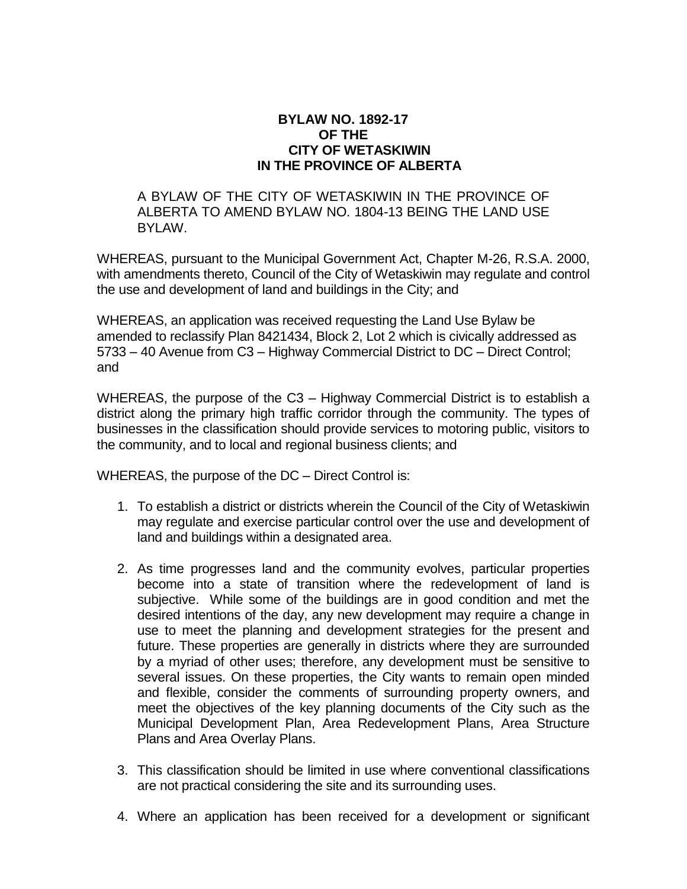## **BYLAW NO. 1892-17 OF THE CITY OF WETASKIWIN IN THE PROVINCE OF ALBERTA**

A BYLAW OF THE CITY OF WETASKIWIN IN THE PROVINCE OF ALBERTA TO AMEND BYLAW NO. 1804-13 BEING THE LAND USE BYLAW.

WHEREAS, pursuant to the Municipal Government Act, Chapter M-26, R.S.A. 2000, with amendments thereto, Council of the City of Wetaskiwin may regulate and control the use and development of land and buildings in the City; and

WHEREAS, an application was received requesting the Land Use Bylaw be amended to reclassify Plan 8421434, Block 2, Lot 2 which is civically addressed as 5733 – 40 Avenue from C3 – Highway Commercial District to DC – Direct Control; and

WHEREAS, the purpose of the C3 – Highway Commercial District is to establish a district along the primary high traffic corridor through the community. The types of businesses in the classification should provide services to motoring public, visitors to the community, and to local and regional business clients; and

WHEREAS, the purpose of the DC – Direct Control is:

- 1. To establish a district or districts wherein the Council of the City of Wetaskiwin may regulate and exercise particular control over the use and development of land and buildings within a designated area.
- 2. As time progresses land and the community evolves, particular properties become into a state of transition where the redevelopment of land is subjective. While some of the buildings are in good condition and met the desired intentions of the day, any new development may require a change in use to meet the planning and development strategies for the present and future. These properties are generally in districts where they are surrounded by a myriad of other uses; therefore, any development must be sensitive to several issues. On these properties, the City wants to remain open minded and flexible, consider the comments of surrounding property owners, and meet the objectives of the key planning documents of the City such as the Municipal Development Plan, Area Redevelopment Plans, Area Structure Plans and Area Overlay Plans.
- 3. This classification should be limited in use where conventional classifications are not practical considering the site and its surrounding uses.
- 4. Where an application has been received for a development or significant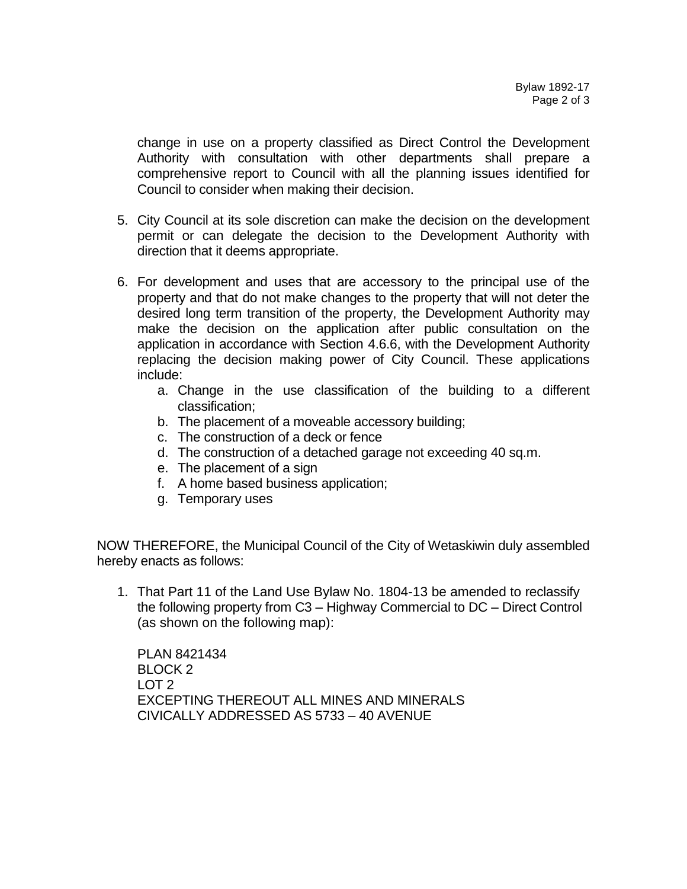change in use on a property classified as Direct Control the Development Authority with consultation with other departments shall prepare a comprehensive report to Council with all the planning issues identified for Council to consider when making their decision.

- 5. City Council at its sole discretion can make the decision on the development permit or can delegate the decision to the Development Authority with direction that it deems appropriate.
- 6. For development and uses that are accessory to the principal use of the property and that do not make changes to the property that will not deter the desired long term transition of the property, the Development Authority may make the decision on the application after public consultation on the application in accordance with Section 4.6.6, with the Development Authority replacing the decision making power of City Council. These applications include:
	- a. Change in the use classification of the building to a different classification;
	- b. The placement of a moveable accessory building;
	- c. The construction of a deck or fence
	- d. The construction of a detached garage not exceeding 40 sq.m.
	- e. The placement of a sign
	- f. A home based business application;
	- g. Temporary uses

NOW THEREFORE, the Municipal Council of the City of Wetaskiwin duly assembled hereby enacts as follows:

1. That Part 11 of the Land Use Bylaw No. 1804-13 be amended to reclassify the following property from C3 – Highway Commercial to DC – Direct Control (as shown on the following map):

PLAN 8421434 BLOCK 2 LOT 2 EXCEPTING THEREOUT ALL MINES AND MINERALS CIVICALLY ADDRESSED AS 5733 – 40 AVENUE